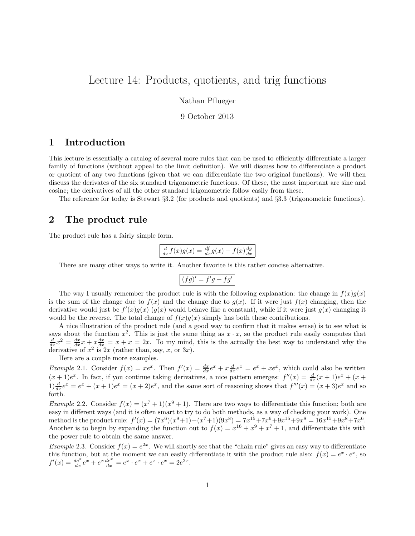# Lecture 14: Products, quotients, and trig functions

Nathan Pflueger

9 October 2013

### 1 Introduction

This lecture is essentially a catalog of several more rules that can be used to efficiently differentiate a larger family of functions (without appeal to the limit definition). We will discuss how to differentiate a product or quotient of any two functions (given that we can differentiate the two original functions). We will then discuss the derivates of the six standard trigonometric functions. Of these, the most important are sine and cosine; the derivatives of all the other standard trigonometric follow easily from these.

The reference for today is Stewart §3.2 (for products and quotients) and §3.3 (trigonometric functions).

### 2 The product rule

The product rule has a fairly simple form.

$$
\frac{d}{dx}f(x)g(x) = \frac{df}{dx}g(x) + f(x)\frac{dg}{dx}
$$

There are many other ways to write it. Another favorite is this rather concise alternative.

$$
(fg)' = f'g + fg'
$$

The way I usually remember the product rule is with the following explanation: the change in  $f(x)g(x)$ is the sum of the change due to  $f(x)$  and the change due to  $g(x)$ . If it were just  $f(x)$  changing, then the derivative would just be  $f'(x)g(x)$  ( $g(x)$  would behave like a constant), while if it were just  $g(x)$  changing it would be the reverse. The total change of  $f(x)g(x)$  simply has both these contributions.

A nice illustration of the product rule (and a good way to confirm that it makes sense) is to see what is says about the function  $x^2$ . This is just the same thing as  $x \cdot x$ , so the product rule easily computes that  $\frac{d}{dx}x^2 = \frac{dx}{dx}x + x\frac{dx}{dx} = x + x = 2x$ . To my mind, this is the actually the best way to understand why the derivative of  $x^2$  is  $2x$  (rather than, say, x, or  $3x$ ).

Here are a couple more examples.

*Example 2.1.* Consider  $f(x) = xe^x$ . Then  $f'(x) = \frac{dx}{dx}e^x + x\frac{d}{dx}e^x = e^x + xe^x$ , which could also be written  $(x+1)e^x$ . In fact, if you continue taking derivatives, a nice pattern emerges:  $f''(x) = \frac{d}{dx}(x+1)e^x + (x+1)e^x$  $1\frac{d}{dx}e^x = e^x + (x+1)e^x = (x+2)e^x$ , and the same sort of reasoning shows that  $f'''(x) = (x+3)e^x$  and so forth.

*Example 2.2.* Consider  $f(x) = (x^7 + 1)(x^9 + 1)$ . There are two ways to differentiate this function; both are easy in different ways (and it is often smart to try to do both methods, as a way of checking your work). One method is the product rule:  $f'(x) = (7x^6)(x^9+1)+(x^7+1)(9x^8) = 7x^{15}+7x^6+9x^{15}+9x^8 = 16x^{15}+9x^8+7x^6$ . Another is to begin by expanding the function out to  $f(x) = x^{16} + x^9 + x^7 + 1$ , and differentiate this with the power rule to obtain the same answer.

*Example* 2.3. Consider  $f(x) = e^{2x}$ . We will shortly see that the "chain rule" gives an easy way to differentiate this function, but at the moment we can easily differentiate it with the product rule also:  $f(x) = e^x \cdot e^x$ , so  $f'(x) = \frac{de^x}{dx}e^x + e^x \frac{de^x}{dx} = e^x \cdot e^x + e^x \cdot e^x = 2e^{2x}.$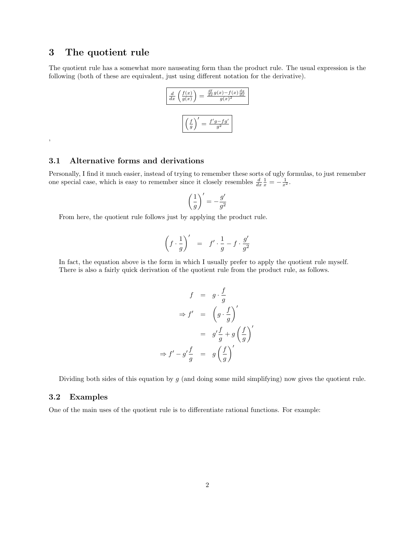### 3 The quotient rule

 $\, ,$ 

The quotient rule has a somewhat more nauseating form than the product rule. The usual expression is the following (both of these are equivalent, just using different notation for the derivative).



#### 3.1 Alternative forms and derivations

Personally, I find it much easier, instead of trying to remember these sorts of ugly formulas, to just remember one special case, which is easy to remember since it closely resembles  $\frac{d}{dx}\frac{1}{x} = -\frac{1}{x^2}$ .

$$
\left(\frac{1}{g}\right)' = -\frac{g'}{g^2}
$$

From here, the quotient rule follows just by applying the product rule.

$$
\left(f \cdot \frac{1}{g}\right)' = f' \cdot \frac{1}{g} - f \cdot \frac{g'}{g^2}
$$

In fact, the equation above is the form in which I usually prefer to apply the quotient rule myself. There is also a fairly quick derivation of the quotient rule from the product rule, as follows.

$$
f = g \cdot \frac{f}{g}
$$

$$
\Rightarrow f' = \left(g \cdot \frac{f}{g}\right)'
$$

$$
= g' \frac{f}{g} + g\left(\frac{f}{g}\right)'
$$

$$
\Rightarrow f' - g' \frac{f}{g} = g\left(\frac{f}{g}\right)'
$$

Dividing both sides of this equation by  $g$  (and doing some mild simplifying) now gives the quotient rule.

#### 3.2 Examples

One of the main uses of the quotient rule is to differentiate rational functions. For example: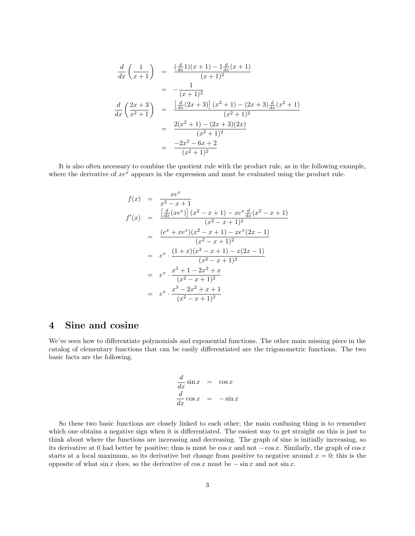$$
\frac{d}{dx}\left(\frac{1}{x+1}\right) = \frac{\left(\frac{d}{dx}1\right)(x+1) - 1\frac{d}{dx}(x+1)}{(x+1)^2}
$$
\n
$$
= -\frac{1}{(x+1)^2}
$$
\n
$$
\frac{d}{dx}\left(\frac{2x+3}{x^2+1}\right) = \frac{\left[\frac{d}{dx}(2x+3)\right](x^2+1) - (2x+3)\frac{d}{dx}(x^2+1)}{(x^2+1)^2}
$$
\n
$$
= \frac{2(x^2+1) - (2x+3)(2x)}{(x^2+1)^2}
$$
\n
$$
= \frac{-2x^2 - 6x + 2}{(x^2+1)^2}
$$

It is also often necessary to combine the quotient rule with the product rule, as in the following example, where the derivative of  $xe^x$  appears in the expression and must be evaluated using the product rule.

$$
f(x) = \frac{xe^x}{x^2 - x + 1}
$$
  
\n
$$
f'(x) = \frac{\left[\frac{d}{dx}(xe^x)\right](x^2 - x + 1) - xe^x \frac{d}{dx}(x^2 - x + 1)}{(x^2 - x + 1)^2}
$$
  
\n
$$
= \frac{(e^x + xe^x)(x^2 - x + 1) - xe^x(2x - 1)}{(x^2 - x + 1)^2}
$$
  
\n
$$
= e^x \cdot \frac{(1 + x)(x^2 - x + 1) - x(2x - 1)}{(x^2 - x + 1)^2}
$$
  
\n
$$
= e^x \cdot \frac{x^3 + 1 - 2x^2 + x}{(x^2 - x + 1)^2}
$$
  
\n
$$
= e^x \cdot \frac{x^3 - 2x^2 + x + 1}{(x^2 - x + 1)^2}
$$

## 4 Sine and cosine

We've seen how to differentiate polynomials and exponential functions. The other main missing piece in the catalog of elementary functions that can be easily differentiated are the trigonometric functions. The two basic facts are the following.

$$
\frac{d}{dx}\sin x = \cos x
$$
  

$$
\frac{d}{dx}\cos x = -\sin x
$$

So these two basic functions are closely linked to each other; the main confusing thing is to remember which one obtains a negative sign when it is differentiated. The easiest way to get straight on this is just to think about where the functions are increasing and decreasing. The graph of sine is initially increasing, so its derivative at 0 had better by positive; thus is must be  $\cos x$  and not  $-\cos x$ . Similarly, the graph of  $\cos x$ starts at a local maximum, so its derivative but change from positive to negative around  $x = 0$ ; this is the opposite of what sin x does, so the derivative of cos x must be  $-\sin x$  and not sin x.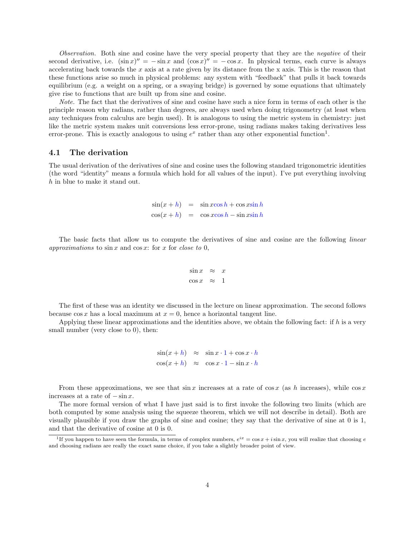Observation. Both sine and cosine have the very special property that they are the *negative* of their second derivative, i.e.  $(\sin x)'' = -\sin x$  and  $(\cos x)'' = -\cos x$ . In physical terms, each curve is always accelerating back towards the x axis at a rate given by its distance from the x axis. This is the reason that these functions arise so much in physical problems: any system with "feedback" that pulls it back towards equilibrium (e.g. a weight on a spring, or a swaying bridge) is governed by some equations that ultimately give rise to functions that are built up from sine and cosine.

Note. The fact that the derivatives of sine and cosine have such a nice form in terms of each other is the principle reason why radians, rather than degrees, are always used when doing trigonometry (at least when any techniques from calculus are begin used). It is analogous to using the metric system in chemistry: just like the metric system makes unit conversions less error-prone, using radians makes taking derivatives less error-prone. This is exactly analogous to using  $e^x$  rather than any other exponential function<sup>1</sup>.

#### 4.1 The derivation

The usual derivation of the derivatives of sine and cosine uses the following standard trigonometric identities (the word "identity" means a formula which hold for all values of the input). I've put everything involving h in blue to make it stand out.

$$
\sin(x + h) = \sin x \cos h + \cos x \sin h
$$
  

$$
\cos(x + h) = \cos x \cos h - \sin x \sin h
$$

The basic facts that allow us to compute the derivatives of sine and cosine are the following *linear* approximations to  $\sin x$  and  $\cos x$ : for x for close to 0,

$$
\sin x \approx x
$$
  

$$
\cos x \approx 1
$$

The first of these was an identity we discussed in the lecture on linear approximation. The second follows because  $\cos x$  has a local maximum at  $x = 0$ , hence a horizontal tangent line.

Applying these linear approximations and the identities above, we obtain the following fact: if h is a very small number (very close to 0), then:

> $\sin(x+h) \approx \sin x \cdot 1 + \cos x \cdot h$  $\cos(x+h) \approx \cos x \cdot 1 - \sin x \cdot h$

From these approximations, we see that  $\sin x$  increases at a rate of  $\cos x$  (as h increases), while  $\cos x$ increases at a rate of  $-\sin x$ .

The more formal version of what I have just said is to first invoke the following two limits (which are both computed by some analysis using the squeeze theorem, which we will not describe in detail). Both are visually plausible if you draw the graphs of sine and cosine; they say that the derivative of sine at 0 is 1, and that the derivative of cosine at 0 is 0.

<sup>&</sup>lt;sup>1</sup>If you happen to have seen the formula, in terms of complex numbers,  $e^{ix} = \cos x + i \sin x$ , you will realize that choosing e and choosing radians are really the exact same choice, if you take a slightly broader point of view.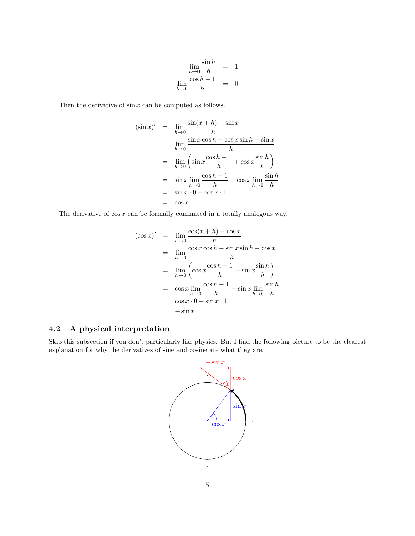$$
\lim_{h \to 0} \frac{\sin h}{h} = 1
$$
  

$$
\lim_{h \to 0} \frac{\cos h - 1}{h} = 0
$$

Then the derivative of  $\sin x$  can be computed as follows.

$$
(\sin x)' = \lim_{h \to 0} \frac{\sin(x+h) - \sin x}{h}
$$
  
= 
$$
\lim_{h \to 0} \frac{\sin x \cos h + \cos x \sin h - \sin x}{h}
$$
  
= 
$$
\lim_{h \to 0} \left( \sin x \frac{\cos h - 1}{h} + \cos x \frac{\sin h}{h} \right)
$$
  
= 
$$
\sin x \lim_{h \to 0} \frac{\cos h - 1}{h} + \cos x \lim_{h \to 0} \frac{\sin h}{h}
$$
  
= 
$$
\sin x \cdot 0 + \cos x \cdot 1
$$
  
= 
$$
\cos x
$$

The derivative of  $\cos x$  can be formally commuted in a totally analogous way.

$$
(\cos x)' = \lim_{h \to 0} \frac{\cos(x+h) - \cos x}{h}
$$
  
= 
$$
\lim_{h \to 0} \frac{\cos x \cos h - \sin x \sin h - \cos x}{h}
$$
  
= 
$$
\lim_{h \to 0} \left( \cos x \frac{\cos h - 1}{h} - \sin x \frac{\sin h}{h} \right)
$$
  
= 
$$
\cos x \lim_{h \to 0} \frac{\cos h - 1}{h} - \sin x \lim_{h \to 0} \frac{\sin h}{h}
$$
  
= 
$$
\cos x \cdot 0 - \sin x \cdot 1
$$
  
= 
$$
-\sin x
$$

# 4.2 A physical interpretation

Skip this subsection if you don't particularly like physics. But I find the following picture to be the clearest explanation for why the derivatives of sine and cosine are what they are.

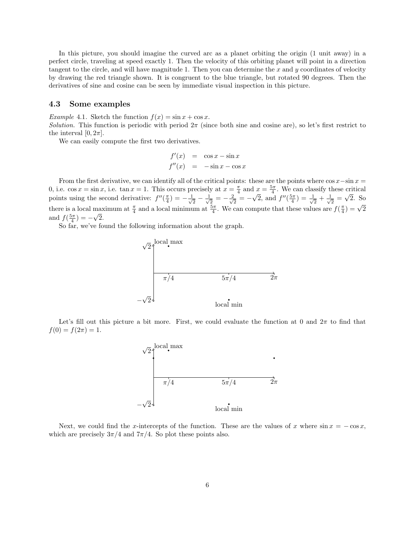In this picture, you should imagine the curved arc as a planet orbiting the origin (1 unit away) in a perfect circle, traveling at speed exactly 1. Then the velocity of this orbiting planet will point in a direction tangent to the circle, and will have magnitude 1. Then you can determine the x and y coordinates of velocity by drawing the red triangle shown. It is congruent to the blue triangle, but rotated 90 degrees. Then the derivatives of sine and cosine can be seen by immediate visual inspection in this picture.

#### 4.3 Some examples

Example 4.1. Sketch the function  $f(x) = \sin x + \cos x$ .

Solution. This function is periodic with period  $2\pi$  (since both sine and cosine are), so let's first restrict to the interval  $[0, 2\pi]$ .

We can easily compute the first two derivatives.

$$
f'(x) = \cos x - \sin x
$$
  

$$
f''(x) = -\sin x - \cos x
$$

From the first derivative, we can identify all of the critical points: these are the points where  $\cos x - \sin x =$ 0, i.e.  $\cos x = \sin x$ , i.e.  $\tan x = 1$ . This occurs precisely at  $x = \frac{\pi}{4}$  and  $x = \frac{5\pi}{4}$ . We can classify these critical points using the second derivative:  $f''(\frac{\pi}{4}) = -\frac{1}{\sqrt{2}}$  $\frac{1}{2} - \frac{1}{\sqrt{2}}$  $\frac{1}{2}=-\frac{2}{\sqrt{2}}$  $\frac{1}{2} = -$ √  $\overline{2}$ , and  $f''(\frac{5\pi}{4}) = \frac{1}{\sqrt{2}}$  $\frac{1}{2} + \frac{1}{\sqrt{2}}$  $\frac{1}{2}$  = √ 2. So there is a local maximum at  $\frac{\pi}{4}$  and a local minimum at  $\frac{5\pi}{4}$ . We can compute that these values are  $f(\frac{\pi}{4}) = \sqrt{2}$ and  $f(\frac{5\pi}{4}) = -\sqrt{2}$ .

So far, we've found the following information about the graph.



Let's fill out this picture a bit more. First, we could evaluate the function at 0 and  $2\pi$  to find that  $f(0) = f(2\pi) = 1.$ 



Next, we could find the x-intercepts of the function. These are the values of x where  $\sin x = -\cos x$ , which are precisely  $3\pi/4$  and  $7\pi/4$ . So plot these points also.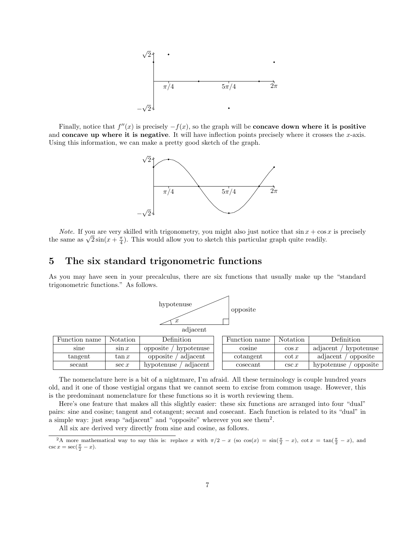

Finally, notice that  $f''(x)$  is precisely  $-f(x)$ , so the graph will be **concave down where it is positive** and concave up where it is negative. It will have inflection points precisely where it crosses the  $x$ -axis. Using this information, we can make a pretty good sketch of the graph.



*Note.* If you are very skilled with trigonometry, you might also just notice that  $\sin x + \cos x$  is precisely *Note.* If you are very skilled with trigonometry, you might also just notice that sin  $x + \cos$  the same as  $\sqrt{2} \sin(x + \frac{\pi}{4})$ . This would allow you to sketch this particular graph quite readily.

### 5 The six standard trigonometric functions

As you may have seen in your precalculus, there are six functions that usually make up the "standard trigonometric functions." As follows.



| Function name | Notation | Definition              | Function name | <b>Notation</b> | Definition             |
|---------------|----------|-------------------------|---------------|-----------------|------------------------|
| sine          | $\sin x$ | opposite,<br>hypotenuse | cosine        | $\cos x$        | adiacent<br>hypotenuse |
| tangent       | $\tan x$ | adiacent<br>opposite    | cotangent     | $\cot x$        | adjacent<br>opposite   |
| secant        | $\sec x$ | adjacent<br>hypotenuse  | cosecant      | $\csc x$        | opposite<br>hypotenuse |

The nomenclature here is a bit of a nightmare, I'm afraid. All these terminology is couple hundred years old, and it one of those vestigial organs that we cannot seem to excise from common usage. However, this is the predominant nomenclature for these functions so it is worth reviewing them.

Here's one feature that makes all this slightly easier: these six functions are arranged into four "dual" pairs: sine and cosine; tangent and cotangent; secant and cosecant. Each function is related to its "dual" in a simple way: just swap "adjacent" and "opposite" wherever you see them<sup>2</sup>.

All six are derived very directly from sine and cosine, as follows.

<sup>&</sup>lt;sup>2</sup>A more mathematical way to say this is: replace x with  $\pi/2 - x$  (so  $\cos(x) = \sin(\frac{\pi}{2} - x)$ ,  $\cot x = \tan(\frac{\pi}{2} - x)$ , and  $\csc x = \sec(\frac{\pi}{2} - x).$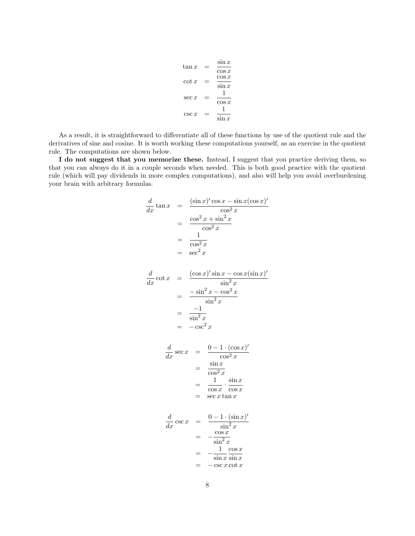$$
\tan x = \frac{\sin x}{\cos x}
$$
  
\n
$$
\cot x = \frac{\cos x}{\sin x}
$$
  
\n
$$
\sec x = \frac{1}{\cos x}
$$
  
\n
$$
\csc x = \frac{1}{\sin x}
$$

As a result, it is straightforward to differentiate all of these functions by use of the quotient rule and the derivatives of sine and cosine. It is worth working these computations yourself, as an exercise in the quotient rule. The computations are shown below.

I do not suggest that you memorize these. Instead, I suggest that you practice deriving them, so that you can always do it in a couple seconds when needed. This is both good practice with the quotient rule (which will pay dividends in more complex computations), and also will help you avoid overburdening your brain with arbitrary formulas.

$$
\frac{d}{dx} \tan x = \frac{(\sin x)' \cos x - \sin x (\cos x)'}{\cos^2 x}
$$
\n
$$
= \frac{\cos^2 x + \sin^2 x}{\cos^2 x}
$$
\n
$$
= \frac{1}{\cos^2 x}
$$
\n
$$
= \sec^2 x
$$

$$
\frac{d}{dx} \cot x = \frac{(\cos x)' \sin x - \cos x (\sin x)'}{\sin^2 x}
$$

$$
= \frac{-\sin^2 x - \cos^2 x}{\sin^2 x}
$$

$$
= \frac{-1}{\sin^2 x}
$$

$$
= -\csc^2 x
$$

$$
\frac{d}{dx} \sec x = \frac{0 - 1 \cdot (\cos x)'}{\cos^2 x}
$$

$$
= \frac{\sin x}{\cos^2 x}
$$

$$
= \frac{1}{\cos x} \cdot \frac{\sin x}{\cos x}
$$

$$
= \sec x \tan x
$$

$$
\frac{d}{dx}\csc x = \frac{0 - 1 \cdot (\sin x)'}{\sin^2 x}
$$

$$
= -\frac{\cos x}{\sin^2 x}
$$

$$
= -\frac{1}{\sin x} \frac{\cos x}{\sin x}
$$

$$
= -\csc x \cot x
$$